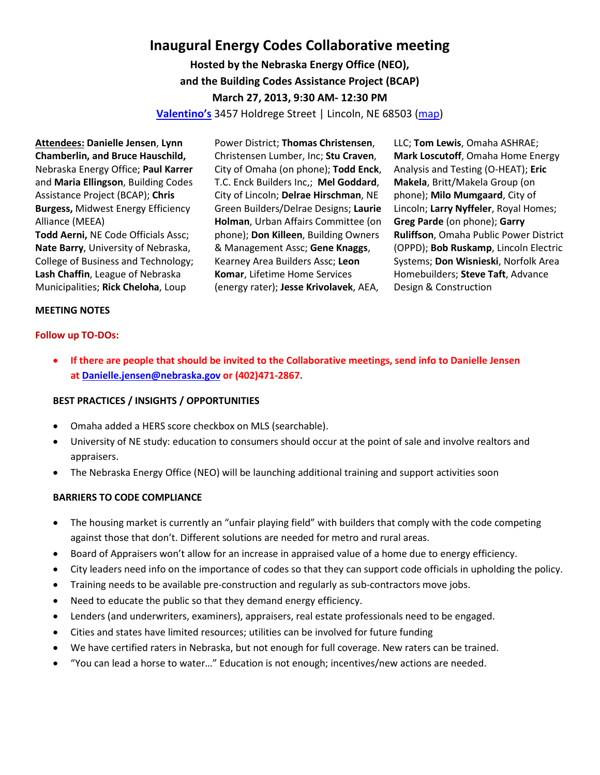# **Inaugural Energy Codes Collaborative meeting**

**Hosted by the Nebraska Energy Office (NEO), and the Building Codes Assistance Project (BCAP) March 27, 2013, 9:30 AM- 12:30 PM**

**[Valentino's](http://north.valentinos.com/zgrid/proc/site/sitep.jsp)** 3457 Holdrege Street | Lincoln, NE 68503 [\(map\)](http://goo.gl/maps/V24gl)

**Attendees: Danielle Jensen**, **Lynn Chamberlin, and Bruce Hauschild,** Nebraska Energy Office; **Paul Karrer** and **Maria Ellingson**, Building Codes Assistance Project (BCAP); **Chris Burgess,** Midwest Energy Efficiency Alliance (MEEA) **Todd Aerni,** NE Code Officials Assc; **Nate Barry**, University of Nebraska, College of Business and Technology; **Lash Chaffin**, League of Nebraska Municipalities; **Rick Cheloha**, Loup

Power District; **Thomas Christensen**, Christensen Lumber, Inc; **Stu Craven**, City of Omaha (on phone); **Todd Enck**, T.C. Enck Builders Inc,; **Mel Goddard**, City of Lincoln; **Delrae Hirschman**, NE Green Builders/Delrae Designs; **Laurie Holman**, Urban Affairs Committee (on phone); **Don Killeen**, Building Owners & Management Assc; **Gene Knaggs**, Kearney Area Builders Assc; **Leon Komar**, Lifetime Home Services (energy rater); **Jesse Krivolavek**, AEA,

LLC; **Tom Lewis**, Omaha ASHRAE; **Mark Loscutoff**, Omaha Home Energy Analysis and Testing (O-HEAT); **Eric Makela**, Britt/Makela Group (on phone); **Milo Mumgaard**, City of Lincoln; **Larry Nyffeler**, Royal Homes; **Greg Parde** (on phone); **Garry Ruliffson**, Omaha Public Power District (OPPD); **Bob Ruskamp**, Lincoln Electric Systems; **Don Wisnieski**, Norfolk Area Homebuilders; **Steve Taft**, Advance Design & Construction

#### **MEETING NOTES**

#### **Follow up TO-DOs:**

• **If there are people that should be invited to the Collaborative meetings, send info to Danielle Jensen a[t Danielle.jensen@nebraska.gov](mailto:Danielle.jensen@nebraska.gov) or (402)471-2867.**

#### **BEST PRACTICES / INSIGHTS / OPPORTUNITIES**

- Omaha added a HERS score checkbox on MLS (searchable).
- University of NE study: education to consumers should occur at the point of sale and involve realtors and appraisers.
- The Nebraska Energy Office (NEO) will be launching additional training and support activities soon

#### **BARRIERS TO CODE COMPLIANCE**

- The housing market is currently an "unfair playing field" with builders that comply with the code competing against those that don't. Different solutions are needed for metro and rural areas.
- Board of Appraisers won't allow for an increase in appraised value of a home due to energy efficiency.
- City leaders need info on the importance of codes so that they can support code officials in upholding the policy.
- Training needs to be available pre-construction and regularly as sub-contractors move jobs.
- Need to educate the public so that they demand energy efficiency.
- Lenders (and underwriters, examiners), appraisers, real estate professionals need to be engaged.
- Cities and states have limited resources; utilities can be involved for future funding
- We have certified raters in Nebraska, but not enough for full coverage. New raters can be trained.
- "You can lead a horse to water…" Education is not enough; incentives/new actions are needed.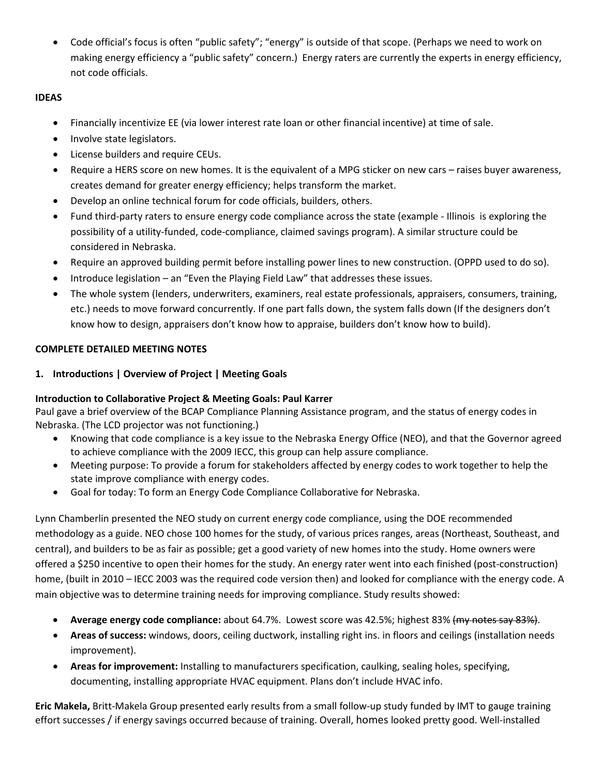• Code official's focus is often "public safety"; "energy" is outside of that scope. (Perhaps we need to work on making energy efficiency a "public safety" concern.) Energy raters are currently the experts in energy efficiency, not code officials.

# **IDEAS**

- Financially incentivize EE (via lower interest rate loan or other financial incentive) at time of sale.
- Involve state legislators.
- License builders and require CEUs.
- Require a HERS score on new homes. It is the equivalent of a MPG sticker on new cars raises buyer awareness, creates demand for greater energy efficiency; helps transform the market.
- Develop an online technical forum for code officials, builders, others.
- Fund third-party raters to ensure energy code compliance across the state (example Illinois is exploring the possibility of a utility-funded, code-compliance, claimed savings program). A similar structure could be considered in Nebraska.
- Require an approved building permit before installing power lines to new construction. (OPPD used to do so).
- Introduce legislation an "Even the Playing Field Law" that addresses these issues.
- The whole system (lenders, underwriters, examiners, real estate professionals, appraisers, consumers, training, etc.) needs to move forward concurrently. If one part falls down, the system falls down (If the designers don't know how to design, appraisers don't know how to appraise, builders don't know how to build).

# **COMPLETE DETAILED MEETING NOTES**

**1. Introductions | Overview of Project | Meeting Goals** 

# **Introduction to Collaborative Project & Meeting Goals: Paul Karrer**

Paul gave a brief overview of the BCAP Compliance Planning Assistance program, and the status of energy codes in Nebraska. (The LCD projector was not functioning.)

- Knowing that code compliance is a key issue to the Nebraska Energy Office (NEO), and that the Governor agreed to achieve compliance with the 2009 IECC, this group can help assure compliance.
- Meeting purpose: To provide a forum for stakeholders affected by energy codes to work together to help the state improve compliance with energy codes.
- Goal for today: To form an Energy Code Compliance Collaborative for Nebraska.

Lynn Chamberlin presented the NEO study on current energy code compliance, using the DOE recommended methodology as a guide. NEO chose 100 homes for the study, of various prices ranges, areas (Northeast, Southeast, and central), and builders to be as fair as possible; get a good variety of new homes into the study. Home owners were offered a \$250 incentive to open their homes for the study. An energy rater went into each finished (post-construction) home, (built in 2010 – IECC 2003 was the required code version then) and looked for compliance with the energy code. A main objective was to determine training needs for improving compliance. Study results showed:

- **Average energy code compliance:** about 64.7%. Lowest score was 42.5%; highest 83% (my notes say 83%).
- **Areas of success:** windows, doors, ceiling ductwork, installing right ins. in floors and ceilings (installation needs improvement).
- **Areas for improvement:** Installing to manufacturers specification, caulking, sealing holes, specifying, documenting, installing appropriate HVAC equipment. Plans don't include HVAC info.

**Eric Makela,** Britt-Makela Group presented early results from a small follow-up study funded by IMT to gauge training effort successes / if energy savings occurred because of training. Overall, homes looked pretty good. Well-installed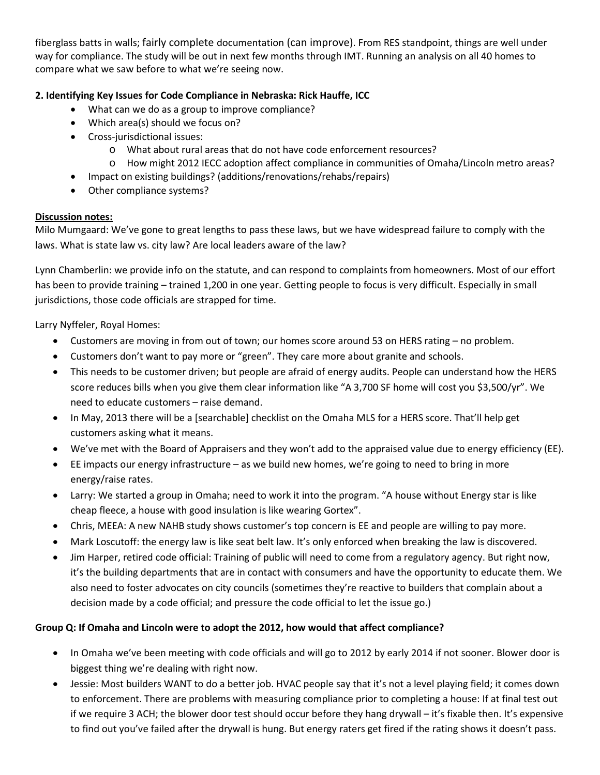fiberglass batts in walls; fairly complete documentation (can improve). From RES standpoint, things are well under way for compliance. The study will be out in next few months through IMT. Running an analysis on all 40 homes to compare what we saw before to what we're seeing now.

## **2. Identifying Key Issues for Code Compliance in Nebraska: Rick Hauffe, ICC**

- What can we do as a group to improve compliance?
- Which area(s) should we focus on?
- Cross-jurisdictional issues:
	- o What about rural areas that do not have code enforcement resources?
	- o How might 2012 IECC adoption affect compliance in communities of Omaha/Lincoln metro areas?
- Impact on existing buildings? (additions/renovations/rehabs/repairs)
- Other compliance systems?

## **Discussion notes:**

Milo Mumgaard: We've gone to great lengths to pass these laws, but we have widespread failure to comply with the laws. What is state law vs. city law? Are local leaders aware of the law?

Lynn Chamberlin: we provide info on the statute, and can respond to complaints from homeowners. Most of our effort has been to provide training – trained 1,200 in one year. Getting people to focus is very difficult. Especially in small jurisdictions, those code officials are strapped for time.

Larry Nyffeler, Royal Homes:

- Customers are moving in from out of town; our homes score around 53 on HERS rating no problem.
- Customers don't want to pay more or "green". They care more about granite and schools.
- This needs to be customer driven; but people are afraid of energy audits. People can understand how the HERS score reduces bills when you give them clear information like "A 3,700 SF home will cost you \$3,500/yr". We need to educate customers – raise demand.
- In May, 2013 there will be a [searchable] checklist on the Omaha MLS for a HERS score. That'll help get customers asking what it means.
- We've met with the Board of Appraisers and they won't add to the appraised value due to energy efficiency (EE).
- EE impacts our energy infrastructure as we build new homes, we're going to need to bring in more energy/raise rates.
- Larry: We started a group in Omaha; need to work it into the program. "A house without Energy star is like cheap fleece, a house with good insulation is like wearing Gortex".
- Chris, MEEA: A new NAHB study shows customer's top concern is EE and people are willing to pay more.
- Mark Loscutoff: the energy law is like seat belt law. It's only enforced when breaking the law is discovered.
- Jim Harper, retired code official: Training of public will need to come from a regulatory agency. But right now, it's the building departments that are in contact with consumers and have the opportunity to educate them. We also need to foster advocates on city councils (sometimes they're reactive to builders that complain about a decision made by a code official; and pressure the code official to let the issue go.)

# **Group Q: If Omaha and Lincoln were to adopt the 2012, how would that affect compliance?**

- In Omaha we've been meeting with code officials and will go to 2012 by early 2014 if not sooner. Blower door is biggest thing we're dealing with right now.
- Jessie: Most builders WANT to do a better job. HVAC people say that it's not a level playing field; it comes down to enforcement. There are problems with measuring compliance prior to completing a house: If at final test out if we require 3 ACH; the blower door test should occur before they hang drywall – it's fixable then. It's expensive to find out you've failed after the drywall is hung. But energy raters get fired if the rating shows it doesn't pass.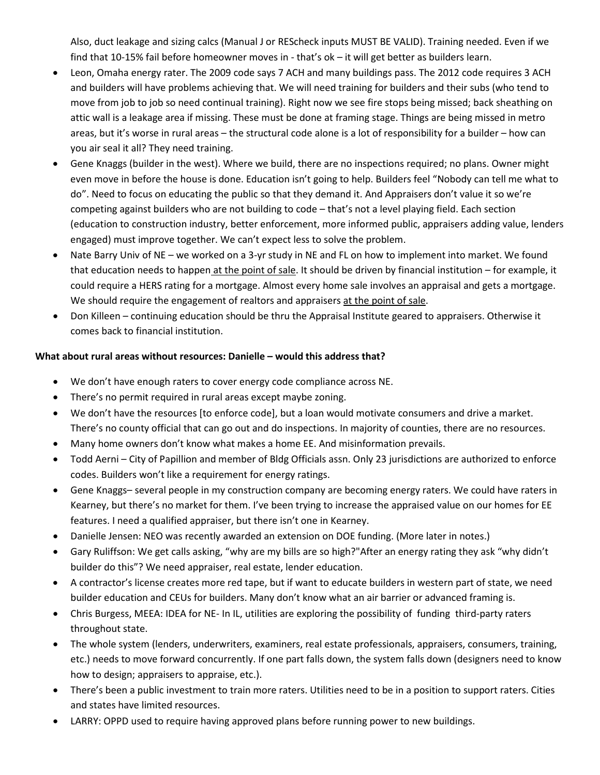Also, duct leakage and sizing calcs (Manual J or REScheck inputs MUST BE VALID). Training needed. Even if we find that 10-15% fail before homeowner moves in - that's ok – it will get better as builders learn.

- Leon, Omaha energy rater. The 2009 code says 7 ACH and many buildings pass. The 2012 code requires 3 ACH and builders will have problems achieving that. We will need training for builders and their subs (who tend to move from job to job so need continual training). Right now we see fire stops being missed; back sheathing on attic wall is a leakage area if missing. These must be done at framing stage. Things are being missed in metro areas, but it's worse in rural areas – the structural code alone is a lot of responsibility for a builder – how can you air seal it all? They need training.
- Gene Knaggs (builder in the west). Where we build, there are no inspections required; no plans. Owner might even move in before the house is done. Education isn't going to help. Builders feel "Nobody can tell me what to do". Need to focus on educating the public so that they demand it. And Appraisers don't value it so we're competing against builders who are not building to code – that's not a level playing field. Each section (education to construction industry, better enforcement, more informed public, appraisers adding value, lenders engaged) must improve together. We can't expect less to solve the problem.
- Nate Barry Univ of NE we worked on a 3-yr study in NE and FL on how to implement into market. We found that education needs to happen at the point of sale. It should be driven by financial institution – for example, it could require a HERS rating for a mortgage. Almost every home sale involves an appraisal and gets a mortgage. We should require the engagement of realtors and appraisers at the point of sale.
- Don Killeen continuing education should be thru the Appraisal Institute geared to appraisers. Otherwise it comes back to financial institution.

#### **What about rural areas without resources: Danielle – would this address that?**

- We don't have enough raters to cover energy code compliance across NE.
- There's no permit required in rural areas except maybe zoning.
- We don't have the resources [to enforce code], but a loan would motivate consumers and drive a market. There's no county official that can go out and do inspections. In majority of counties, there are no resources.
- Many home owners don't know what makes a home EE. And misinformation prevails.
- Todd Aerni City of Papillion and member of Bldg Officials assn. Only 23 jurisdictions are authorized to enforce codes. Builders won't like a requirement for energy ratings.
- Gene Knaggs– several people in my construction company are becoming energy raters. We could have raters in Kearney, but there's no market for them. I've been trying to increase the appraised value on our homes for EE features. I need a qualified appraiser, but there isn't one in Kearney.
- Danielle Jensen: NEO was recently awarded an extension on DOE funding. (More later in notes.)
- Gary Ruliffson: We get calls asking, "why are my bills are so high?"After an energy rating they ask "why didn't builder do this"? We need appraiser, real estate, lender education.
- A contractor's license creates more red tape, but if want to educate builders in western part of state, we need builder education and CEUs for builders. Many don't know what an air barrier or advanced framing is.
- Chris Burgess, MEEA: IDEA for NE- In IL, utilities are exploring the possibility of funding third-party raters throughout state.
- The whole system (lenders, underwriters, examiners, real estate professionals, appraisers, consumers, training, etc.) needs to move forward concurrently. If one part falls down, the system falls down (designers need to know how to design; appraisers to appraise, etc.).
- There's been a public investment to train more raters. Utilities need to be in a position to support raters. Cities and states have limited resources.
- LARRY: OPPD used to require having approved plans before running power to new buildings.